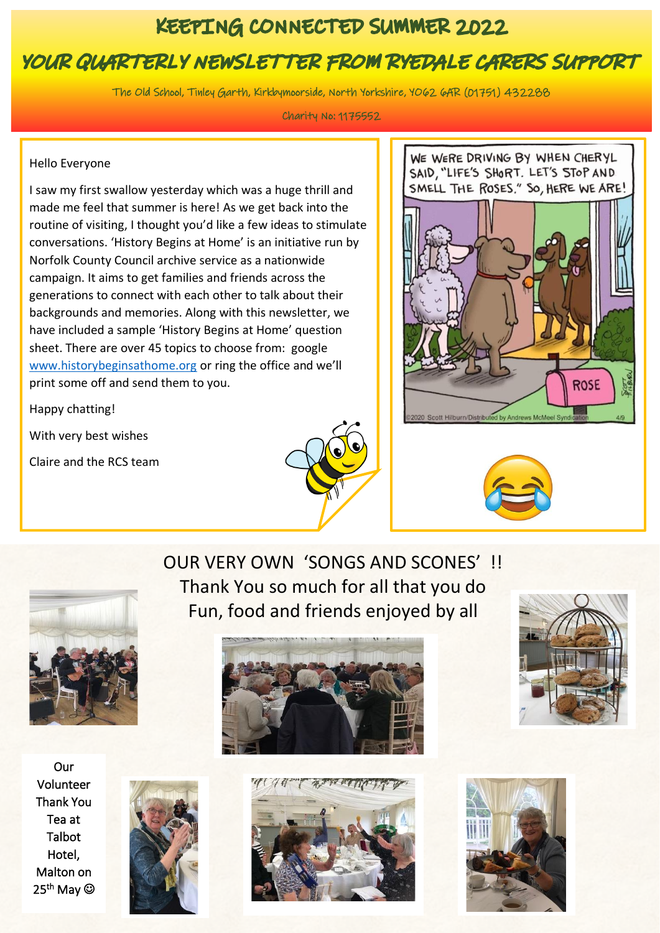## KEEPING CONNECTED SUMMER 2022

# YOUR QUARTERLY NEWSLETTER FROM RYEDALE CARERS SUPPORT

The Old School, Tinley Garth, Kirkbymoorside, North Yorkshire, YO62 6AR (01751) 432288

Charity No: 1175552

#### Hello Everyone

Ī

I saw my first swallow yesterday which was a huge thrill and made me feel that summer is here! As we get back into the routine of visiting, I thought you'd like a few ideas to stimulate conversations. 'History Begins at Home' is an initiative run by Norfolk County Council archive service as a nationwide campaign. It aims to get families and friends across the generations to connect with each other to talk about their backgrounds and memories. Along with this newsletter, we have included a sample 'History Begins at Home' question sheet. There are over 45 topics to choose from: google [www.historybeginsathome.org](http://www.historybeginsathome.org/) or ring the office and we'll print some off and send them to you.

Happy chatting!

With very best wishes

Claire and the RCS team









Our Volunteer Thank You Tea at Talbot Hotel, Malton on 25<sup>th</sup> May ©



OUR VERY OWN 'SONGS AND SCONES' !! Thank You so much for all that you do Fun, food and friends enjoyed by all







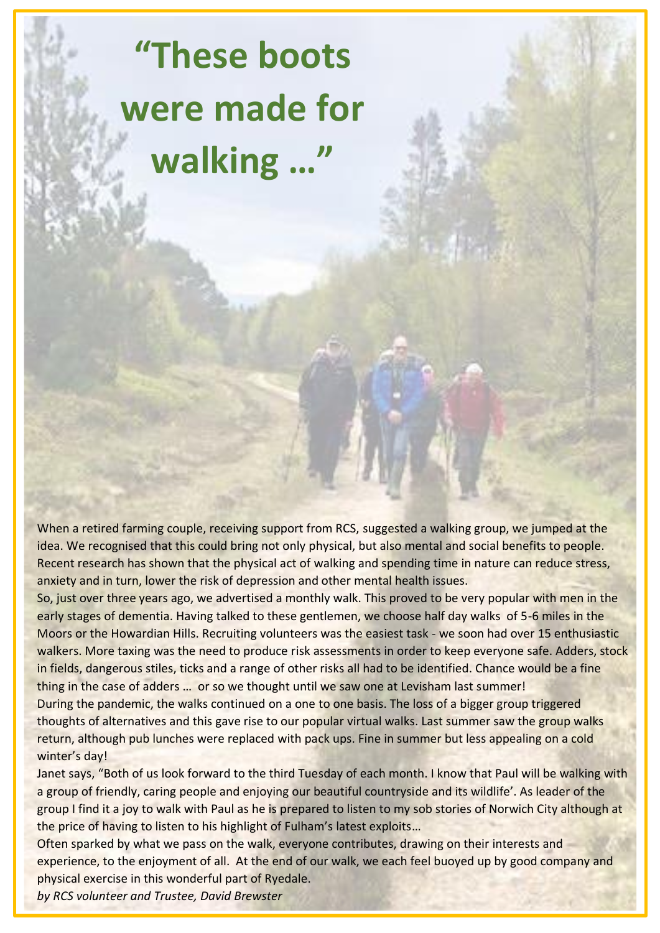# **"These boots were made for walking …"**

When a retired farming couple, receiving support from RCS, suggested a walking group, we jumped at the idea. We recognised that this could bring not only physical, but also mental and social benefits to people. Recent research has shown that the physical act of walking and spending time in nature can reduce stress, anxiety and in turn, lower the risk of depression and other mental health issues.

So, just over three years ago, we advertised a monthly walk. This proved to be very popular with men in the early stages of dementia. Having talked to these gentlemen, we choose half day walks of 5-6 miles in the Moors or the Howardian Hills. Recruiting volunteers was the easiest task - we soon had over 15 enthusiastic walkers. More taxing was the need to produce risk assessments in order to keep everyone safe. Adders, stock in fields, dangerous stiles, ticks and a range of other risks all had to be identified. Chance would be a fine thing in the case of adders ... or so we thought until we saw one at Levisham last summer!

During the pandemic, the walks continued on a one to one basis. The loss of a bigger group triggered thoughts of alternatives and this gave rise to our popular virtual walks. Last summer saw the group walks return, although pub lunches were replaced with pack ups. Fine in summer but less appealing on a cold winter's day!

Janet says, "Both of us look forward to the third Tuesday of each month. I know that Paul will be walking with a group of friendly, caring people and enjoying our beautiful countryside and its wildlife'. As leader of the group I find it a joy to walk with Paul as he is prepared to listen to my sob stories of Norwich City although at the price of having to listen to his highlight of Fulham's latest exploits…

Often sparked by what we pass on the walk, everyone contributes, drawing on their interests and experience, to the enjoyment of all. At the end of our walk, we each feel buoyed up by good company and physical exercise in this wonderful part of Ryedale.

*by RCS volunteer and Trustee, David Brewster*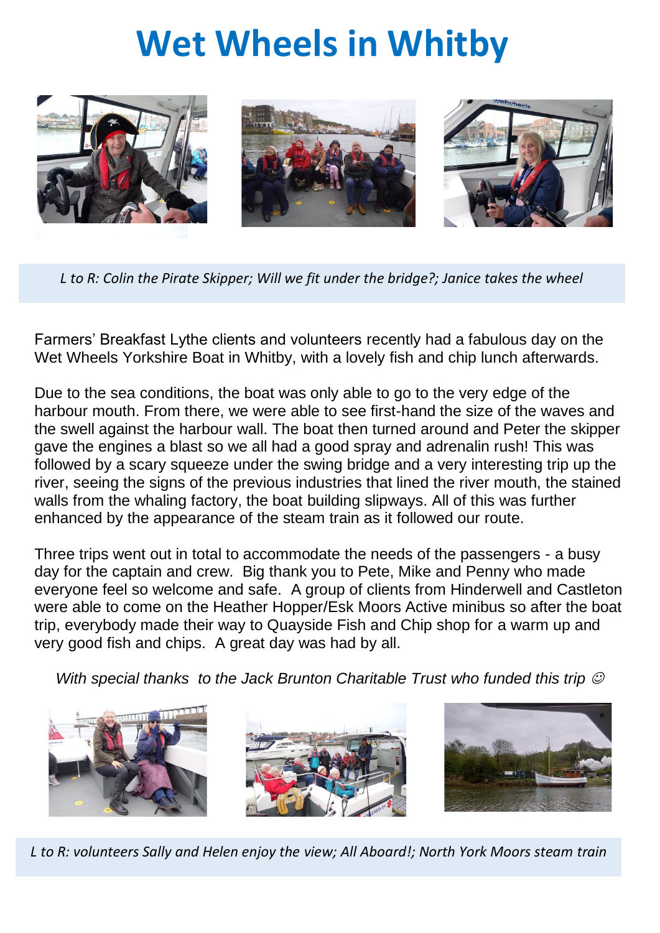# **Wet Wheels in Whitby**



*L to R: Colin the Pirate Skipper; Will we fit under the bridge?; Janice takes the wheel*

Farmers' Breakfast Lythe clients and volunteers recently had a fabulous day on the Wet Wheels Yorkshire Boat in Whitby, with a lovely fish and chip lunch afterwards.

Due to the sea conditions, the boat was only able to go to the very edge of the harbour mouth. From there, we were able to see first-hand the size of the waves and the swell against the harbour wall. The boat then turned around and Peter the skipper gave the engines a blast so we all had a good spray and adrenalin rush! This was followed by a scary squeeze under the swing bridge and a very interesting trip up the river, seeing the signs of the previous industries that lined the river mouth, the stained walls from the whaling factory, the boat building slipways. All of this was further enhanced by the appearance of the steam train as it followed our route.

Three trips went out in total to accommodate the needs of the passengers - a busy day for the captain and crew. Big thank you to Pete, Mike and Penny who made everyone feel so welcome and safe. A group of clients from Hinderwell and Castleton were able to come on the Heather Hopper/Esk Moors Active minibus so after the boat trip, everybody made their way to Quayside Fish and Chip shop for a warm up and very good fish and chips. A great day was had by all.

*With special thanks to the Jack Brunton Charitable Trust who funded this trip*  $\heartsuit$ 



*L to R: volunteers Sally and Helen enjoy the view; All Aboard!; North York Moors steam train*